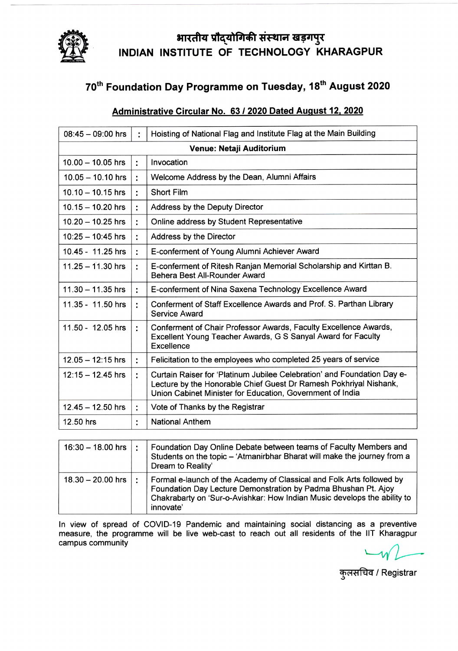

## भारतीय प्रौद्योगिकी संस्थान खड़गपुर INDIAN INSTITUTE OF TECHNOLOGY KHARAGPUR

## 70<sup>th</sup> Foundation Day Programme on Tuesday, 18<sup>th</sup> August 2020

## Administrative Circular No. 63 / 2020 Dated August 12, 2020

| $08:45 - 09:00$ hrs      | ٠  | Hoisting of National Flag and Institute Flag at the Main Building                                                                                                                                         |  |
|--------------------------|----|-----------------------------------------------------------------------------------------------------------------------------------------------------------------------------------------------------------|--|
| Venue: Netaji Auditorium |    |                                                                                                                                                                                                           |  |
| $10.00 - 10.05$ hrs      | ř. | Invocation                                                                                                                                                                                                |  |
| $10.05 - 10.10$ hrs      | Ì. | Welcome Address by the Dean, Alumni Affairs                                                                                                                                                               |  |
| $10.10 - 10.15$ hrs      | ř. | <b>Short Film</b>                                                                                                                                                                                         |  |
| $10.15 - 10.20$ hrs      | t  | <b>Address by the Deputy Director</b>                                                                                                                                                                     |  |
| $10.20 - 10.25$ hrs      | ÷  | Online address by Student Representative                                                                                                                                                                  |  |
| $10:25 - 10:45$ hrs      | ÷  | Address by the Director                                                                                                                                                                                   |  |
| 10.45 - 11.25 hrs        | ÷  | E-conferment of Young Alumni Achiever Award                                                                                                                                                               |  |
| $11.25 - 11.30$ hrs      | ÷  | E-conferment of Ritesh Ranjan Memorial Scholarship and Kirttan B.<br>Behera Best All-Rounder Award                                                                                                        |  |
| $11.30 - 11.35$ hrs      | ř. | E-conferment of Nina Saxena Technology Excellence Award                                                                                                                                                   |  |
| 11.35 - 11.50 hrs        | t. | Conferment of Staff Excellence Awards and Prof. S. Parthan Library<br><b>Service Award</b>                                                                                                                |  |
| 11.50 - 12.05 hrs        | ÷  | Conferment of Chair Professor Awards, Faculty Excellence Awards,<br>Excellent Young Teacher Awards, G S Sanyal Award for Faculty<br>Excellence                                                            |  |
| $12.05 - 12:15$ hrs      | Ì. | Felicitation to the employees who completed 25 years of service                                                                                                                                           |  |
| $12:15 - 12.45$ hrs      | ÷  | Curtain Raiser for 'Platinum Jubilee Celebration' and Foundation Day e-<br>Lecture by the Honorable Chief Guest Dr Ramesh Pokhriyal Nishank,<br>Union Cabinet Minister for Education, Government of India |  |
| $12.45 - 12.50$ hrs      | ÷  | Vote of Thanks by the Registrar                                                                                                                                                                           |  |
| 12.50 hrs                | ÷  | <b>National Anthem</b>                                                                                                                                                                                    |  |
|                          |    |                                                                                                                                                                                                           |  |

| $16:30 - 18.00$ hrs | Foundation Day Online Debate between teams of Faculty Members and<br>Students on the topic - 'Atmanirbhar Bharat will make the journey from a<br>Dream to Reality'                                                               |
|---------------------|----------------------------------------------------------------------------------------------------------------------------------------------------------------------------------------------------------------------------------|
| $18.30 - 20.00$ hrs | Formal e-launch of the Academy of Classical and Folk Arts followed by<br>Foundation Day Lecture Demonstration by Padma Bhushan Pt. Ajoy<br>Chakrabarty on 'Sur-o-Avishkar: How Indian Music develops the ability to<br>innovate' |

In view of spread of COVID-19 Pandemic and maintaining social distancing as a preventive measure, the programme will be live web-cast to reach out all residents of the IIT Kharagpur campus community

कुलसचिव / Registrar